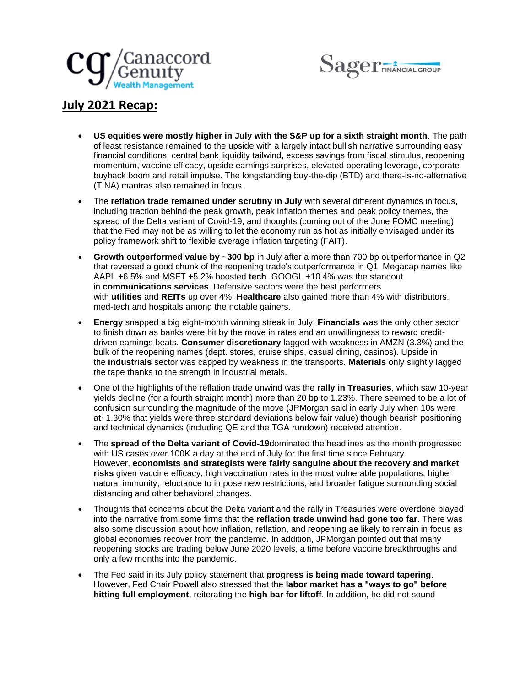



## **July 2021 Recap:**

- **US equities were mostly higher in July with the S&P up for a sixth straight month**. The path of least resistance remained to the upside with a largely intact bullish narrative surrounding easy financial conditions, central bank liquidity tailwind, excess savings from fiscal stimulus, reopening momentum, vaccine efficacy, upside earnings surprises, elevated operating leverage, corporate buyback boom and retail impulse. The longstanding buy-the-dip (BTD) and there-is-no-alternative (TINA) mantras also remained in focus.
- The **reflation trade remained under scrutiny in July** with several different dynamics in focus, including traction behind the peak growth, peak inflation themes and peak policy themes, the spread of the Delta variant of Covid-19, and thoughts (coming out of the June FOMC meeting) that the Fed may not be as willing to let the economy run as hot as initially envisaged under its policy framework shift to flexible average inflation targeting (FAIT).
- **Growth outperformed value by ~300 bp** in July after a more than 700 bp outperformance in Q2 that reversed a good chunk of the reopening trade's outperformance in Q1. Megacap names like AAPL +6.5% and MSFT +5.2% boosted **tech**. GOOGL +10.4% was the standout in **communications services**. Defensive sectors were the best performers with **utilities** and **REITs** up over 4%. **Healthcare** also gained more than 4% with distributors, med-tech and hospitals among the notable gainers.
- **Energy** snapped a big eight-month winning streak in July. **Financials** was the only other sector to finish down as banks were hit by the move in rates and an unwillingness to reward creditdriven earnings beats. **Consumer discretionary** lagged with weakness in AMZN (3.3%) and the bulk of the reopening names (dept. stores, cruise ships, casual dining, casinos). Upside in the **industrials** sector was capped by weakness in the transports. **Materials** only slightly lagged the tape thanks to the strength in industrial metals.
- One of the highlights of the reflation trade unwind was the **rally in Treasuries**, which saw 10-year yields decline (for a fourth straight month) more than 20 bp to 1.23%. There seemed to be a lot of confusion surrounding the magnitude of the move (JPMorgan said in early July when 10s were at~1.30% that yields were three standard deviations below fair value) though bearish positioning and technical dynamics (including QE and the TGA rundown) received attention.
- The **spread of the Delta variant of Covid-19**dominated the headlines as the month progressed with US cases over 100K a day at the end of July for the first time since February. However, **economists and strategists were fairly sanguine about the recovery and market risks** given vaccine efficacy, high vaccination rates in the most vulnerable populations, higher natural immunity, reluctance to impose new restrictions, and broader fatigue surrounding social distancing and other behavioral changes.
- Thoughts that concerns about the Delta variant and the rally in Treasuries were overdone played into the narrative from some firms that the **reflation trade unwind had gone too far**. There was also some discussion about how inflation, reflation, and reopening ae likely to remain in focus as global economies recover from the pandemic. In addition, JPMorgan pointed out that many reopening stocks are trading below June 2020 levels, a time before vaccine breakthroughs and only a few months into the pandemic.
- The Fed said in its July policy statement that **progress is being made toward tapering**. However, Fed Chair Powell also stressed that the **labor market has a "ways to go" before hitting full employment**, reiterating the **high bar for liftoff**. In addition, he did not sound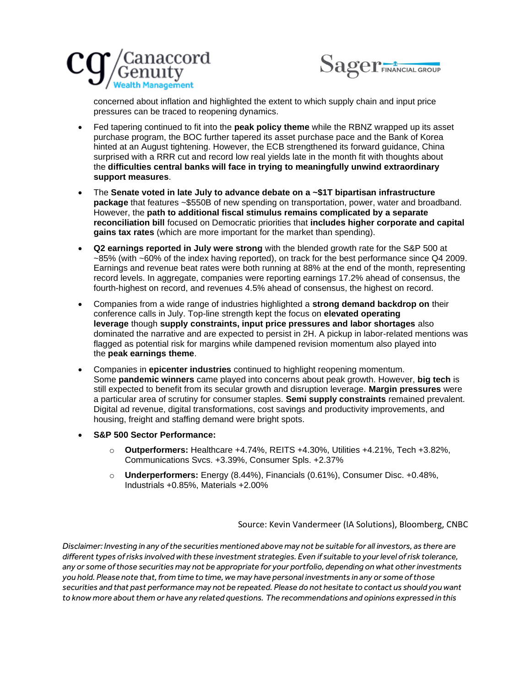



concerned about inflation and highlighted the extent to which supply chain and input price pressures can be traced to reopening dynamics.

- Fed tapering continued to fit into the **peak policy theme** while the RBNZ wrapped up its asset purchase program, the BOC further tapered its asset purchase pace and the Bank of Korea hinted at an August tightening. However, the ECB strengthened its forward guidance, China surprised with a RRR cut and record low real yields late in the month fit with thoughts about the **difficulties central banks will face in trying to meaningfully unwind extraordinary support measures**.
- The **Senate voted in late July to advance debate on a ~\$1T bipartisan infrastructure package** that features ~\$550B of new spending on transportation, power, water and broadband. However, the **path to additional fiscal stimulus remains complicated by a separate reconciliation bill** focused on Democratic priorities that **includes higher corporate and capital gains tax rates** (which are more important for the market than spending).
- **Q2 earnings reported in July were strong** with the blended growth rate for the S&P 500 at ~85% (with ~60% of the index having reported), on track for the best performance since Q4 2009. Earnings and revenue beat rates were both running at 88% at the end of the month, representing record levels. In aggregate, companies were reporting earnings 17.2% ahead of consensus, the fourth-highest on record, and revenues 4.5% ahead of consensus, the highest on record.
- Companies from a wide range of industries highlighted a **strong demand backdrop on** their conference calls in July. Top-line strength kept the focus on **elevated operating leverage** though **supply constraints, input price pressures and labor shortages** also dominated the narrative and are expected to persist in 2H. A pickup in labor-related mentions was flagged as potential risk for margins while dampened revision momentum also played into the **peak earnings theme**.
- Companies in **epicenter industries** continued to highlight reopening momentum. Some **pandemic winners** came played into concerns about peak growth. However, **big tech** is still expected to benefit from its secular growth and disruption leverage. **Margin pressures** were a particular area of scrutiny for consumer staples. **Semi supply constraints** remained prevalent. Digital ad revenue, digital transformations, cost savings and productivity improvements, and housing, freight and staffing demand were bright spots.
- **S&P 500 Sector Performance:**
	- o **Outperformers:** Healthcare +4.74%, REITS +4.30%, Utilities +4.21%, Tech +3.82%, Communications Svcs. +3.39%, Consumer Spls. +2.37%
	- o **Underperformers:** Energy (8.44%), Financials (0.61%), Consumer Disc. +0.48%, Industrials +0.85%, Materials +2.00%

Source: Kevin Vandermeer (IA Solutions), Bloomberg, CNBC

*Disclaimer: Investing in any of the securities mentioned above may not be suitable for all investors, as there are different types of risks involved with these investment strategies. Even if suitable to your level of risk tolerance, any or some of those securities may not be appropriate for your portfolio, depending on what other investments you hold. Please note that, from time to time, we may have personal investments in any or some of those securities and that past performance may not be repeated. Please do not hesitate to contact us should you want to know more about them or have any related questions. The recommendations and opinions expressed in this*